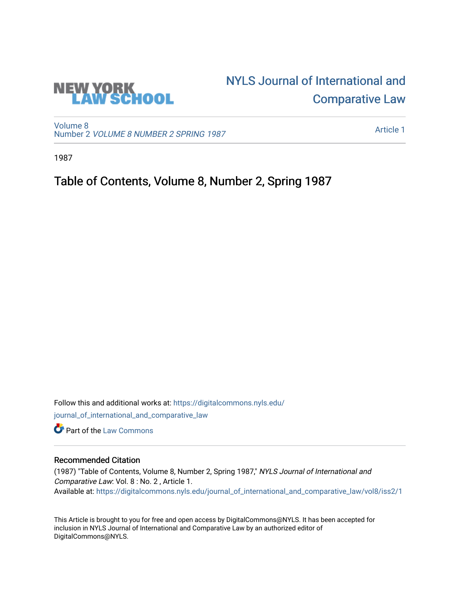

# [NYLS Journal of International and](https://digitalcommons.nyls.edu/journal_of_international_and_comparative_law)  [Comparative Law](https://digitalcommons.nyls.edu/journal_of_international_and_comparative_law)

[Volume 8](https://digitalcommons.nyls.edu/journal_of_international_and_comparative_law/vol8) Number 2 [VOLUME 8 NUMBER 2 SPRING 1987](https://digitalcommons.nyls.edu/journal_of_international_and_comparative_law/vol8/iss2) 

[Article 1](https://digitalcommons.nyls.edu/journal_of_international_and_comparative_law/vol8/iss2/1) 

1987

### Table of Contents, Volume 8, Number 2, Spring 1987

Follow this and additional works at: [https://digitalcommons.nyls.edu/](https://digitalcommons.nyls.edu/journal_of_international_and_comparative_law?utm_source=digitalcommons.nyls.edu%2Fjournal_of_international_and_comparative_law%2Fvol8%2Fiss2%2F1&utm_medium=PDF&utm_campaign=PDFCoverPages) [journal\\_of\\_international\\_and\\_comparative\\_law](https://digitalcommons.nyls.edu/journal_of_international_and_comparative_law?utm_source=digitalcommons.nyls.edu%2Fjournal_of_international_and_comparative_law%2Fvol8%2Fiss2%2F1&utm_medium=PDF&utm_campaign=PDFCoverPages)  **C** Part of the [Law Commons](http://network.bepress.com/hgg/discipline/578?utm_source=digitalcommons.nyls.edu%2Fjournal_of_international_and_comparative_law%2Fvol8%2Fiss2%2F1&utm_medium=PDF&utm_campaign=PDFCoverPages)

#### Recommended Citation

(1987) "Table of Contents, Volume 8, Number 2, Spring 1987," NYLS Journal of International and Comparative Law: Vol. 8 : No. 2 , Article 1. Available at: [https://digitalcommons.nyls.edu/journal\\_of\\_international\\_and\\_comparative\\_law/vol8/iss2/1](https://digitalcommons.nyls.edu/journal_of_international_and_comparative_law/vol8/iss2/1?utm_source=digitalcommons.nyls.edu%2Fjournal_of_international_and_comparative_law%2Fvol8%2Fiss2%2F1&utm_medium=PDF&utm_campaign=PDFCoverPages) 

This Article is brought to you for free and open access by DigitalCommons@NYLS. It has been accepted for inclusion in NYLS Journal of International and Comparative Law by an authorized editor of DigitalCommons@NYLS.